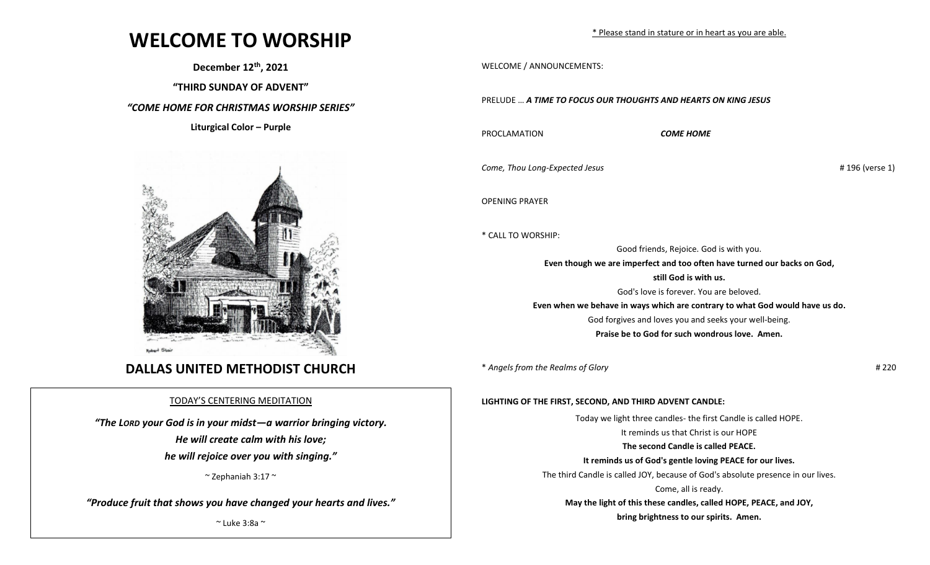# **WELCOME TO WORSHIP**

**December 12th, 2021**

**"THIRD SUNDAY OF ADVENT"**

*"COME HOME FOR CHRISTMAS WORSHIP SERIES"*

**Liturgical Color – Purple** 



## **DALLAS UNITED METHODIST CHURCH**

### TODAY'S CENTERING MEDITATION

*"The LORD your God is in your midst—a warrior bringing victory.*

 *He will create calm with his love;*

 *he will rejoice over you with singing."*

 $\sim$  Zephaniah 3:17  $\sim$ 

*"Produce fruit that shows you have changed your hearts and lives."*

 $\sim$  Luke 3:8a  $\sim$ 

WELCOME / ANNOUNCEMENTS:

PRELUDE … *A TIME TO FOCUS OUR THOUGHTS AND HEARTS ON KING JESUS*

PROCLAMATION *COME HOME*

*Come, Thou Long-Expected Jesus* # 196 (verse 1)

OPENING PRAYER

\* CALL TO WORSHIP:

Good friends, Rejoice. God is with you. **Even though we are imperfect and too often have turned our backs on God, still God is with us.**

God's love is forever. You are beloved. **Even when we behave in ways which are contrary to what God would have us do.** God forgives and loves you and seeks your well-being. **Praise be to God for such wondrous love. Amen.**

\* *Angels from the Realms of Glory* # 220

**LIGHTING OF THE FIRST, SECOND, AND THIRD ADVENT CANDLE:**

Today we light three candles- the first Candle is called HOPE. It reminds us that Christ is our HOPE **The second Candle is called PEACE. It reminds us of God's gentle loving PEACE for our lives.** The third Candle is called JOY, because of God's absolute presence in our lives. Come, all is ready. **May the light of this these candles, called HOPE, PEACE, and JOY, bring brightness to our spirits. Amen.**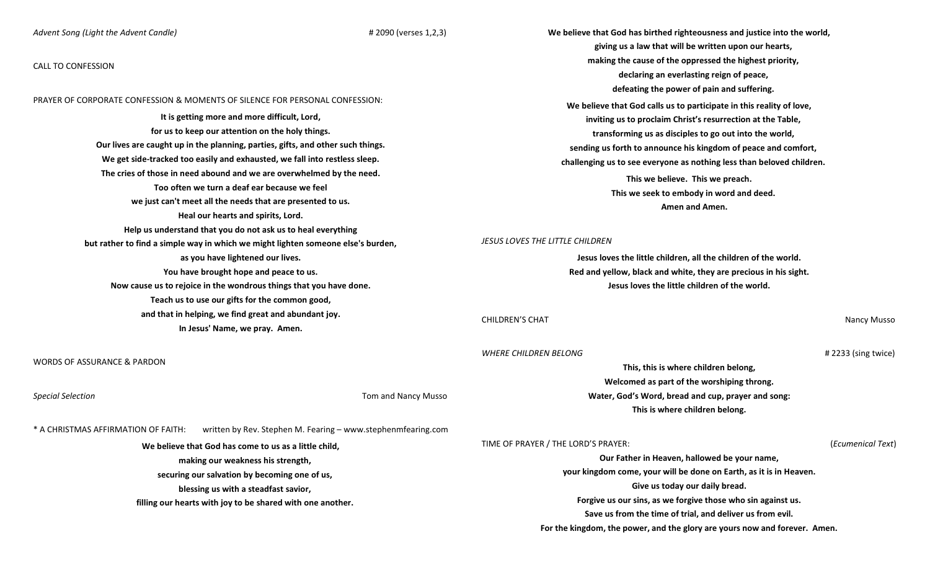#### *Advent Song (Light the Advent Candle)* # 2090 (verses 1,2,3)

#### CALL TO CONFESSION

PRAYER OF CORPORATE CONFESSION & MOMENTS OF SILENCE FOR PERSONAL CONFESSION:

**It is getting more and more difficult, Lord, for us to keep our attention on the holy things. Our lives are caught up in the planning, parties, gifts, and other such things. We get side-tracked too easily and exhausted, we fall into restless sleep. The cries of those in need abound and we are overwhelmed by the need. Too often we turn a deaf ear because we feel we just can't meet all the needs that are presented to us. Heal our hearts and spirits, Lord. Help us understand that you do not ask us to heal everything but rather to find a simple way in which we might lighten someone else's burden, as you have lightened our lives. You have brought hope and peace to us. Now cause us to rejoice in the wondrous things that you have done. Teach us to use our gifts for the common good, and that in helping, we find great and abundant joy. In Jesus' Name, we pray. Amen.**

WORDS OF ASSURANCE & PARDON

**Special Selection** Tom and Nancy Musso

\* A CHRISTMAS AFFIRMATION OF FAITH: written by Rev. Stephen M. Fearing – www.stephenmfearing.com

**We believe that God has come to us as a little child, making our weakness his strength, securing our salvation by becoming one of us, blessing us with a steadfast savior, filling our hearts with joy to be shared with one another.** **We believe that God has birthed righteousness and justice into the world, giving us a law that will be written upon our hearts, making the cause of the oppressed the highest priority, declaring an everlasting reign of peace, defeating the power of pain and suffering. We believe that God calls us to participate in this reality of love, inviting us to proclaim Christ's resurrection at the Table, transforming us as disciples to go out into the world, sending us forth to announce his kingdom of peace and comfort, challenging us to see everyone as nothing less than beloved children. This we believe. This we preach. This we seek to embody in word and deed. Amen and Amen.**

#### *JESUS LOVES THE LITTLE CHILDREN*

**Jesus loves the little children, all the children of the world. Red and yellow, black and white, they are precious in his sight. Jesus loves the little children of the world.**

CHILDREN'S CHAT Nancy Musso CHILDREN'S CHAT Nancy Musso CHILDREN'S CHAT

*WHERE CHILDREN BELONG* # 2233 (sing twice)

**Welcomed as part of the worshiping throng. Water, God's Word, bread and cup, prayer and song: This is where children belong.**

**This, this is where children belong,**

TIME OF PRAYER / THE LORD'S PRAYER: (*Ecumenical Text*)

**Our Father in Heaven, hallowed be your name, your kingdom come, your will be done on Earth, as it is in Heaven. Give us today our daily bread. Forgive us our sins, as we forgive those who sin against us. Save us from the time of trial, and deliver us from evil. For the kingdom, the power, and the glory are yours now and forever. Amen.**